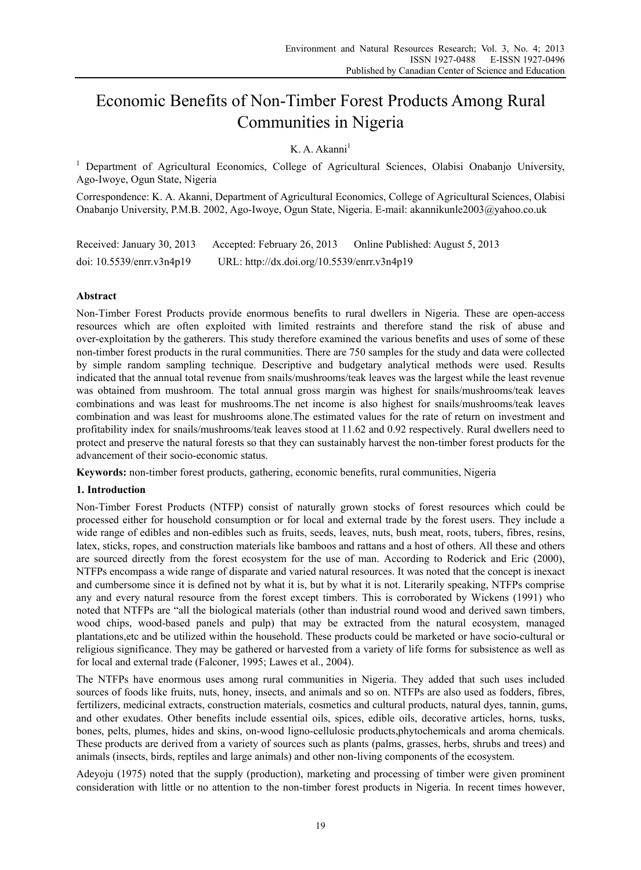# Economic Benefits of Non-Timber Forest Products Among Rural Communities in Nigeria

# $K$  A Akanni<sup>1</sup>

<sup>1</sup> Department of Agricultural Economics, College of Agricultural Sciences, Olabisi Onabanjo University, Ago-Iwoye, Ogun State, Nigeria

Correspondence: K. A. Akanni, Department of Agricultural Economics, College of Agricultural Sciences, Olabisi Onabanjo University, P.M.B. 2002, Ago-Iwoye, Ogun State, Nigeria. E-mail: akannikunle2003@yahoo.co.uk

Received: January 30, 2013 Accepted: February 26, 2013 Online Published: August 5, 2013 doi: 10.5539/enrr.v3n4p19 URL: http://dx.doi.org/10.5539/enrr.v3n4p19

# **Abstract**

Non-Timber Forest Products provide enormous benefits to rural dwellers in Nigeria. These are open-access resources which are often exploited with limited restraints and therefore stand the risk of abuse and over-exploitation by the gatherers. This study therefore examined the various benefits and uses of some of these non-timber forest products in the rural communities. There are 750 samples for the study and data were collected by simple random sampling technique. Descriptive and budgetary analytical methods were used. Results indicated that the annual total revenue from snails/mushrooms/teak leaves was the largest while the least revenue was obtained from mushroom. The total annual gross margin was highest for snails/mushrooms/teak leaves combinations and was least for mushrooms.The net income is also highest for snails/mushrooms/teak leaves combination and was least for mushrooms alone.The estimated values for the rate of return on investment and profitability index for snails/mushrooms/teak leaves stood at 11.62 and 0.92 respectively. Rural dwellers need to protect and preserve the natural forests so that they can sustainably harvest the non-timber forest products for the advancement of their socio-economic status.

**Keywords:** non-timber forest products, gathering, economic benefits, rural communities, Nigeria

# **1. Introduction**

Non-Timber Forest Products (NTFP) consist of naturally grown stocks of forest resources which could be processed either for household consumption or for local and external trade by the forest users. They include a wide range of edibles and non-edibles such as fruits, seeds, leaves, nuts, bush meat, roots, tubers, fibres, resins, latex, sticks, ropes, and construction materials like bamboos and rattans and a host of others. All these and others are sourced directly from the forest ecosystem for the use of man. According to Roderick and Eric (2000), NTFPs encompass a wide range of disparate and varied natural resources. It was noted that the concept is inexact and cumbersome since it is defined not by what it is, but by what it is not. Literarily speaking, NTFPs comprise any and every natural resource from the forest except timbers. This is corroborated by Wickens (1991) who noted that NTFPs are "all the biological materials (other than industrial round wood and derived sawn timbers, wood chips, wood-based panels and pulp) that may be extracted from the natural ecosystem, managed plantations,etc and be utilized within the household. These products could be marketed or have socio-cultural or religious significance. They may be gathered or harvested from a variety of life forms for subsistence as well as for local and external trade (Falconer, 1995; Lawes et al., 2004).

The NTFPs have enormous uses among rural communities in Nigeria. They added that such uses included sources of foods like fruits, nuts, honey, insects, and animals and so on. NTFPs are also used as fodders, fibres, fertilizers, medicinal extracts, construction materials, cosmetics and cultural products, natural dyes, tannin, gums, and other exudates. Other benefits include essential oils, spices, edible oils, decorative articles, horns, tusks, bones, pelts, plumes, hides and skins, on-wood ligno-cellulosic products,phytochemicals and aroma chemicals. These products are derived from a variety of sources such as plants (palms, grasses, herbs, shrubs and trees) and animals (insects, birds, reptiles and large animals) and other non-living components of the ecosystem.

Adeyoju (1975) noted that the supply (production), marketing and processing of timber were given prominent consideration with little or no attention to the non-timber forest products in Nigeria. In recent times however,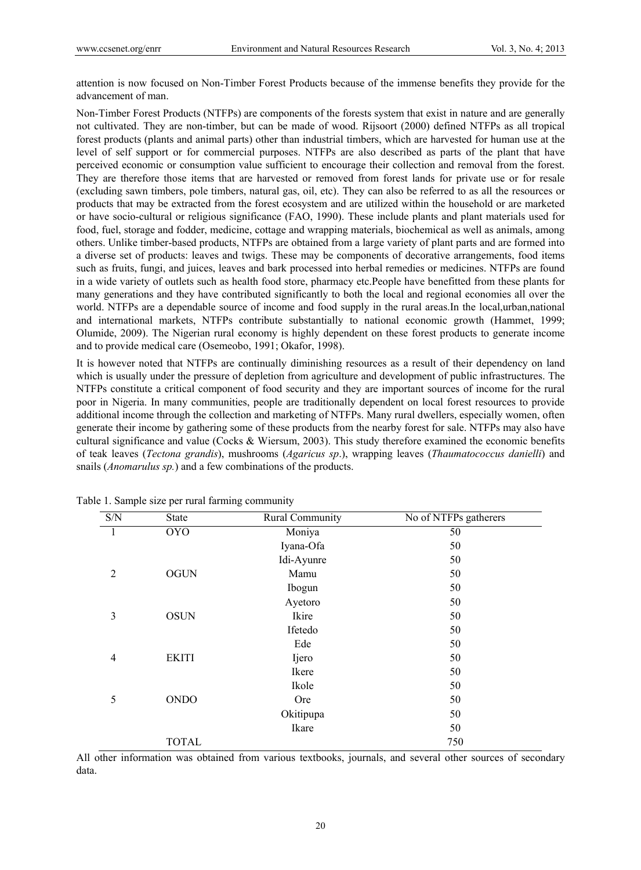attention is now focused on Non-Timber Forest Products because of the immense benefits they provide for the advancement of man.

Non-Timber Forest Products (NTFPs) are components of the forests system that exist in nature and are generally not cultivated. They are non-timber, but can be made of wood. Rijsoort (2000) defined NTFPs as all tropical forest products (plants and animal parts) other than industrial timbers, which are harvested for human use at the level of self support or for commercial purposes. NTFPs are also described as parts of the plant that have perceived economic or consumption value sufficient to encourage their collection and removal from the forest. They are therefore those items that are harvested or removed from forest lands for private use or for resale (excluding sawn timbers, pole timbers, natural gas, oil, etc). They can also be referred to as all the resources or products that may be extracted from the forest ecosystem and are utilized within the household or are marketed or have socio-cultural or religious significance (FAO, 1990). These include plants and plant materials used for food, fuel, storage and fodder, medicine, cottage and wrapping materials, biochemical as well as animals, among others. Unlike timber-based products, NTFPs are obtained from a large variety of plant parts and are formed into a diverse set of products: leaves and twigs. These may be components of decorative arrangements, food items such as fruits, fungi, and juices, leaves and bark processed into herbal remedies or medicines. NTFPs are found in a wide variety of outlets such as health food store, pharmacy etc.People have benefitted from these plants for many generations and they have contributed significantly to both the local and regional economies all over the world. NTFPs are a dependable source of income and food supply in the rural areas.In the local,urban,national and international markets, NTFPs contribute substantially to national economic growth (Hammet, 1999; Olumide, 2009). The Nigerian rural economy is highly dependent on these forest products to generate income and to provide medical care (Osemeobo, 1991; Okafor, 1998).

It is however noted that NTFPs are continually diminishing resources as a result of their dependency on land which is usually under the pressure of depletion from agriculture and development of public infrastructures. The NTFPs constitute a critical component of food security and they are important sources of income for the rural poor in Nigeria. In many communities, people are traditionally dependent on local forest resources to provide additional income through the collection and marketing of NTFPs. Many rural dwellers, especially women, often generate their income by gathering some of these products from the nearby forest for sale. NTFPs may also have cultural significance and value (Cocks & Wiersum, 2003). This study therefore examined the economic benefits of teak leaves (*Tectona grandis*), mushrooms (*Agaricus sp*.), wrapping leaves (*Thaumatococcus danielli*) and snails (*Anomarulus sp.*) and a few combinations of the products.

| S/N             | <b>State</b> | <b>Rural Community</b> | No of NTFPs gatherers |
|-----------------|--------------|------------------------|-----------------------|
| <b>OYO</b><br>1 |              | Moniya                 | 50                    |
|                 |              | Iyana-Ofa              | 50                    |
|                 |              | Idi-Ayunre             | 50                    |
| $\overline{2}$  | <b>OGUN</b>  | Mamu                   | 50                    |
|                 |              | Ibogun                 | 50                    |
|                 |              | Ayetoro                | 50                    |
| $\mathfrak{Z}$  | <b>OSUN</b>  | Ikire                  | 50                    |
|                 |              | Ifetedo                | 50                    |
|                 |              | Ede                    | 50                    |
| $\overline{4}$  | <b>EKITI</b> | Ijero                  | 50                    |
|                 |              | Ikere                  | 50                    |
|                 |              | Ikole                  | 50                    |
| 5               | <b>ONDO</b>  | <b>Ore</b>             | 50                    |
|                 |              | Okitipupa              | 50                    |
|                 |              | Ikare                  | 50                    |
|                 | <b>TOTAL</b> |                        | 750                   |

Table 1. Sample size per rural farming community

All other information was obtained from various textbooks, journals, and several other sources of secondary data.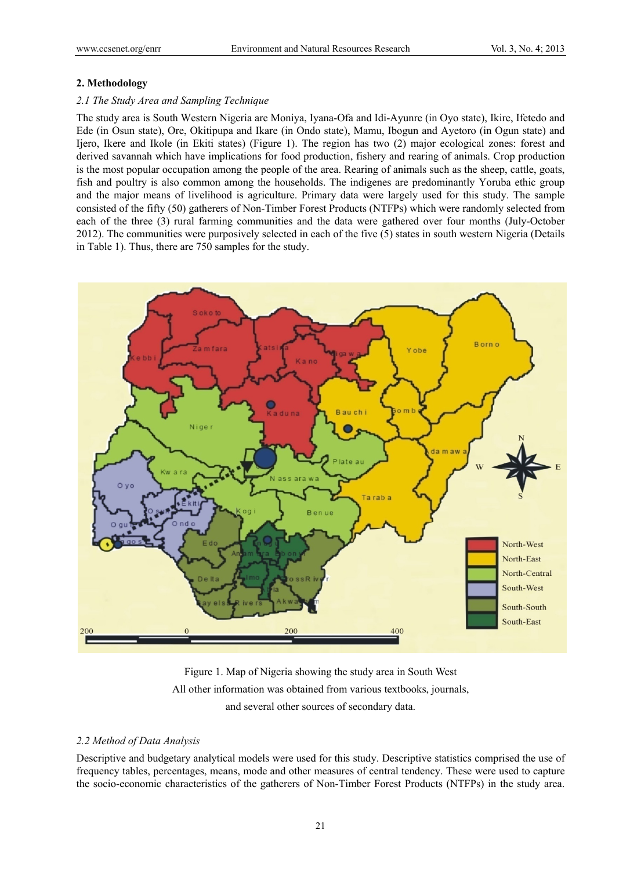#### **2. Methodology**

#### *2.1 The Study Area and Sampling Technique*

The study area is South Western Nigeria are Moniya, Iyana-Ofa and Idi-Ayunre (in Oyo state), Ikire, Ifetedo and Ede (in Osun state), Ore, Okitipupa and Ikare (in Ondo state), Mamu, Ibogun and Ayetoro (in Ogun state) and Ijero, Ikere and Ikole (in Ekiti states) (Figure 1). The region has two (2) major ecological zones: forest and derived savannah which have implications for food production, fishery and rearing of animals. Crop production is the most popular occupation among the people of the area. Rearing of animals such as the sheep, cattle, goats, fish and poultry is also common among the households. The indigenes are predominantly Yoruba ethic group and the major means of livelihood is agriculture. Primary data were largely used for this study. The sample consisted of the fifty (50) gatherers of Non-Timber Forest Products (NTFPs) which were randomly selected from each of the three (3) rural farming communities and the data were gathered over four months (July-October 2012). The communities were purposively selected in each of the five (5) states in south western Nigeria (Details in Table 1). Thus, there are 750 samples for the study.



Figure 1. Map of Nigeria showing the study area in South West All other information was obtained from various textbooks, journals, and several other sources of secondary data.

#### *2.2 Method of Data Analysis*

Descriptive and budgetary analytical models were used for this study. Descriptive statistics comprised the use of frequency tables, percentages, means, mode and other measures of central tendency. These were used to capture the socio-economic characteristics of the gatherers of Non-Timber Forest Products (NTFPs) in the study area.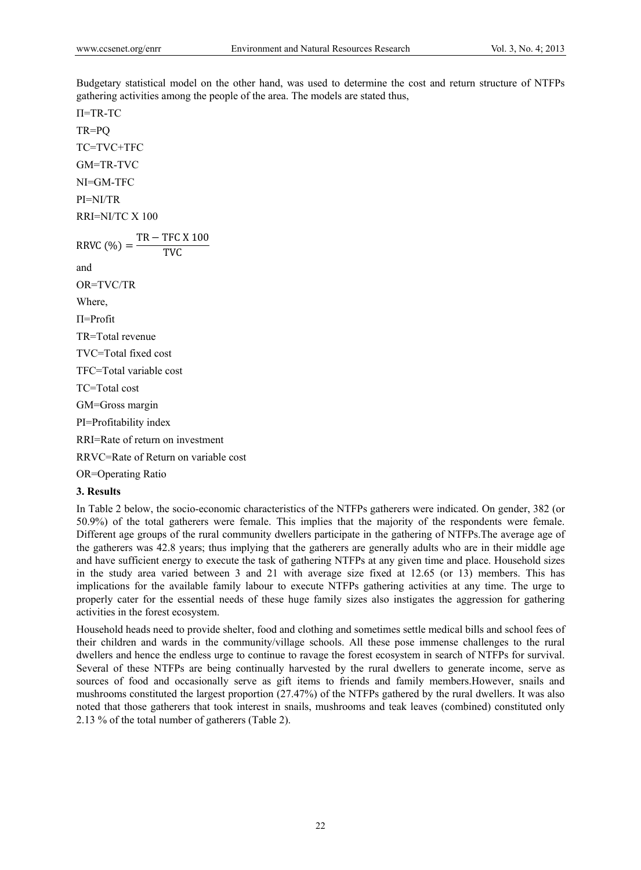Budgetary statistical model on the other hand, was used to determine the cost and return structure of NTFPs gathering activities among the people of the area. The models are stated thus,

Π=TR-TC TR=PQ TC=TVC+TFC GM=TR-TVC NI=GM-TFC PI=NI/TR RRI=NI/TC X 100 RRVC  $(\% ) = \frac{1}{1}$  $TR - TFCX100$ TVC and OR=TVC/TR Where, Π=Profit TR=Total revenue TVC=Total fixed cost TFC=Total variable cost TC=Total cost GM=Gross margin PI=Profitability index RRI=Rate of return on investment RRVC=Rate of Return on variable cost OR=Operating Ratio

# **3. Results**

In Table 2 below, the socio-economic characteristics of the NTFPs gatherers were indicated. On gender, 382 (or 50.9%) of the total gatherers were female. This implies that the majority of the respondents were female. Different age groups of the rural community dwellers participate in the gathering of NTFPs.The average age of the gatherers was 42.8 years; thus implying that the gatherers are generally adults who are in their middle age and have sufficient energy to execute the task of gathering NTFPs at any given time and place. Household sizes in the study area varied between 3 and 21 with average size fixed at 12.65 (or 13) members. This has implications for the available family labour to execute NTFPs gathering activities at any time. The urge to properly cater for the essential needs of these huge family sizes also instigates the aggression for gathering activities in the forest ecosystem.

Household heads need to provide shelter, food and clothing and sometimes settle medical bills and school fees of their children and wards in the community/village schools. All these pose immense challenges to the rural dwellers and hence the endless urge to continue to ravage the forest ecosystem in search of NTFPs for survival. Several of these NTFPs are being continually harvested by the rural dwellers to generate income, serve as sources of food and occasionally serve as gift items to friends and family members.However, snails and mushrooms constituted the largest proportion (27.47%) of the NTFPs gathered by the rural dwellers. It was also noted that those gatherers that took interest in snails, mushrooms and teak leaves (combined) constituted only 2.13 % of the total number of gatherers (Table 2).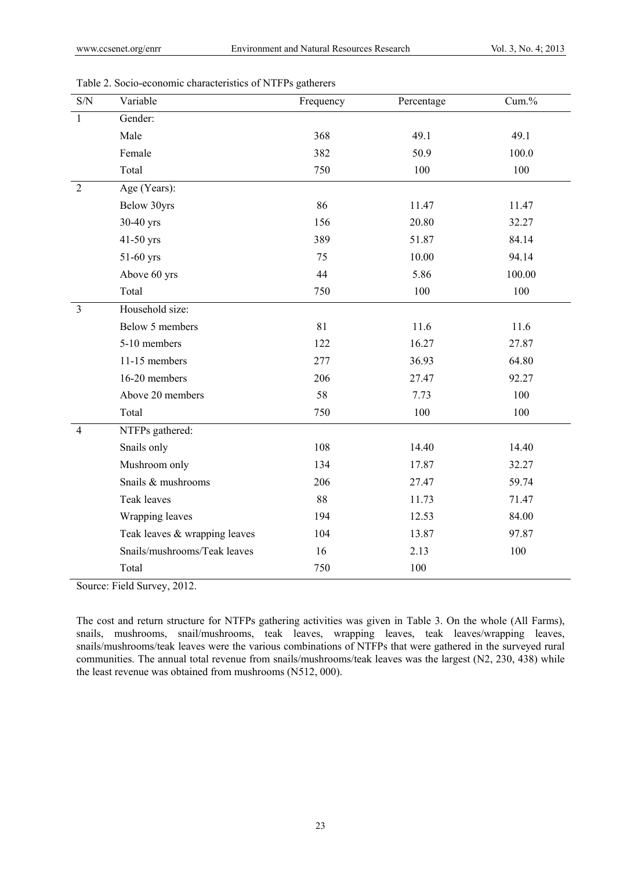| S/N            | Variable                      | Frequency | Percentage | Cum.%  |
|----------------|-------------------------------|-----------|------------|--------|
| $\mathbf{1}$   | Gender:                       |           |            |        |
|                | Male                          | 368       | 49.1       | 49.1   |
|                | Female                        | 382       | 50.9       | 100.0  |
|                | Total                         | 750       | 100        | 100    |
| $\overline{2}$ | Age (Years):                  |           |            |        |
|                | Below 30yrs                   | 86        | 11.47      | 11.47  |
|                | 30-40 yrs                     | 156       | 20.80      | 32.27  |
|                | 41-50 yrs                     | 389       | 51.87      | 84.14  |
|                | 51-60 yrs                     | 75        | 10.00      | 94.14  |
|                | Above 60 yrs                  | 44        | 5.86       | 100.00 |
|                | Total                         | 750       | 100        | 100    |
| $\overline{3}$ | Household size:               |           |            |        |
|                | Below 5 members               | 81        | 11.6       | 11.6   |
|                | 5-10 members                  | 122       | 16.27      | 27.87  |
|                | 11-15 members                 | 277       | 36.93      | 64.80  |
|                | 16-20 members                 | 206       | 27.47      | 92.27  |
|                | Above 20 members              | 58        | 7.73       | 100    |
|                | Total                         | 750       | 100        | 100    |
| $\overline{4}$ | NTFPs gathered:               |           |            |        |
|                | Snails only                   | 108       | 14.40      | 14.40  |
|                | Mushroom only                 | 134       | 17.87      | 32.27  |
|                | Snails & mushrooms            | 206       | 27.47      | 59.74  |
|                | Teak leaves                   | 88        | 11.73      | 71.47  |
|                | Wrapping leaves               | 194       | 12.53      | 84.00  |
|                | Teak leaves & wrapping leaves | 104       | 13.87      | 97.87  |
|                | Snails/mushrooms/Teak leaves  | 16        | 2.13       | 100    |
|                | Total                         | 750       | 100        |        |
| $\Omega$ .     | E:110<br>2012                 |           |            |        |

|  |  |  |  |  |  |  |  | Table 2. Socio-economic characteristics of NTFPs gatherers |
|--|--|--|--|--|--|--|--|------------------------------------------------------------|
|--|--|--|--|--|--|--|--|------------------------------------------------------------|

Source: Field Survey, 2012.

The cost and return structure for NTFPs gathering activities was given in Table 3. On the whole (All Farms), snails, mushrooms, snail/mushrooms, teak leaves, wrapping leaves, teak leaves/wrapping leaves, snails/mushrooms/teak leaves were the various combinations of NTFPs that were gathered in the surveyed rural communities. The annual total revenue from snails/mushrooms/teak leaves was the largest (N2, 230, 438) while the least revenue was obtained from mushrooms (N512, 000).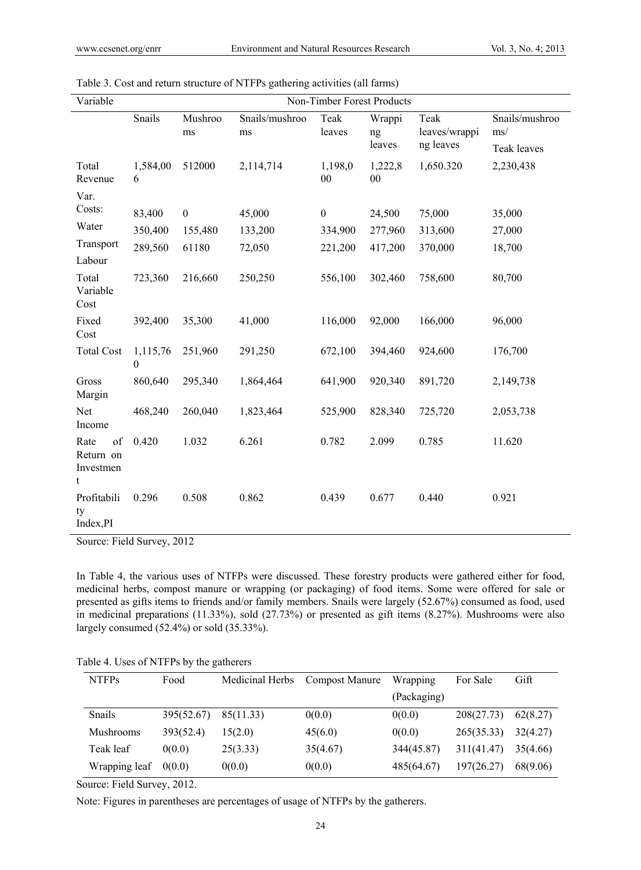| Variable                                  | Non-Timber Forest Products   |                  |                      |                  |                        |                                    |                                      |
|-------------------------------------------|------------------------------|------------------|----------------------|------------------|------------------------|------------------------------------|--------------------------------------|
|                                           | Snails                       | Mushroo<br>ms    | Snails/mushroo<br>ms | Teak<br>leaves   | Wrappi<br>ng<br>leaves | Teak<br>leaves/wrappi<br>ng leaves | Snails/mushroo<br>ms/<br>Teak leaves |
| Total<br>Revenue                          | 1,584,00<br>6                | 512000           | 2,114,714            | 1,198,0<br>00    | 1,222,8<br>00          | 1,650.320                          | 2,230,438                            |
| Var.<br>Costs:                            | 83,400                       | $\boldsymbol{0}$ | 45,000               | $\boldsymbol{0}$ | 24,500                 | 75,000                             | 35,000                               |
| Water<br>Transport                        | 350,400                      | 155,480          | 133,200              | 334,900          | 277,960                | 313,600                            | 27,000                               |
| Labour                                    | 289,560                      | 61180            | 72,050               | 221,200          | 417,200                | 370,000                            | 18,700                               |
| Total<br>Variable<br>Cost                 | 723,360                      | 216,660          | 250,250              | 556,100          | 302,460                | 758,600                            | 80,700                               |
| Fixed<br>Cost                             | 392,400                      | 35,300           | 41,000               | 116,000          | 92,000                 | 166,000                            | 96,000                               |
| <b>Total Cost</b>                         | 1,115,76<br>$\boldsymbol{0}$ | 251,960          | 291,250              | 672,100          | 394,460                | 924,600                            | 176,700                              |
| Gross<br>Margin                           | 860,640                      | 295,340          | 1,864,464            | 641,900          | 920,340                | 891,720                            | 2,149,738                            |
| Net<br>Income                             | 468,240                      | 260,040          | 1,823,464            | 525,900          | 828,340                | 725,720                            | 2,053,738                            |
| Rate<br>of<br>Return on<br>Investmen<br>t | 0.420                        | 1.032            | 6.261                | 0.782            | 2.099                  | 0.785                              | 11.620                               |
| Profitabili<br>ty<br>Index, PI            | 0.296                        | 0.508            | 0.862                | 0.439            | 0.677                  | 0.440                              | 0.921                                |

Table 3. Cost and return structure of NTFPs gathering activities (all farms)

Source: Field Survey, 2012

In Table 4, the various uses of NTFPs were discussed. These forestry products were gathered either for food, medicinal herbs, compost manure or wrapping (or packaging) of food items. Some were offered for sale or presented as gifts items to friends and/or family members. Snails were largely (52.67%) consumed as food, used in medicinal preparations (11.33%), sold (27.73%) or presented as gift items (8.27%). Mushrooms were also largely consumed (52.4%) or sold (35.33%).

| <b>NTFPs</b>     | Food       | Medicinal Herbs | Compost Manure | Wrapping    | For Sale   | Gift     |
|------------------|------------|-----------------|----------------|-------------|------------|----------|
|                  |            |                 |                | (Packaging) |            |          |
| <b>S</b> nails   | 395(52.67) | 85(11.33)       | 0(0.0)         | 0(0.0)      | 208(27.73) | 62(8.27) |
| <b>Mushrooms</b> | 393(52.4)  | 15(2.0)         | 45(6.0)        | 0(0.0)      | 265(35.33) | 32(4.27) |
| Teak leaf        | 0(0.0)     | 25(3.33)        | 35(4.67)       | 344(45.87)  | 311(41.47) | 35(4.66) |
| Wrapping leaf    | 0(0.0)     | 0(0.0)          | 0(0.0)         | 485(64.67)  | 197(26.27) | 68(9.06) |

Source: Field Survey, 2012.

Note: Figures in parentheses are percentages of usage of NTFPs by the gatherers.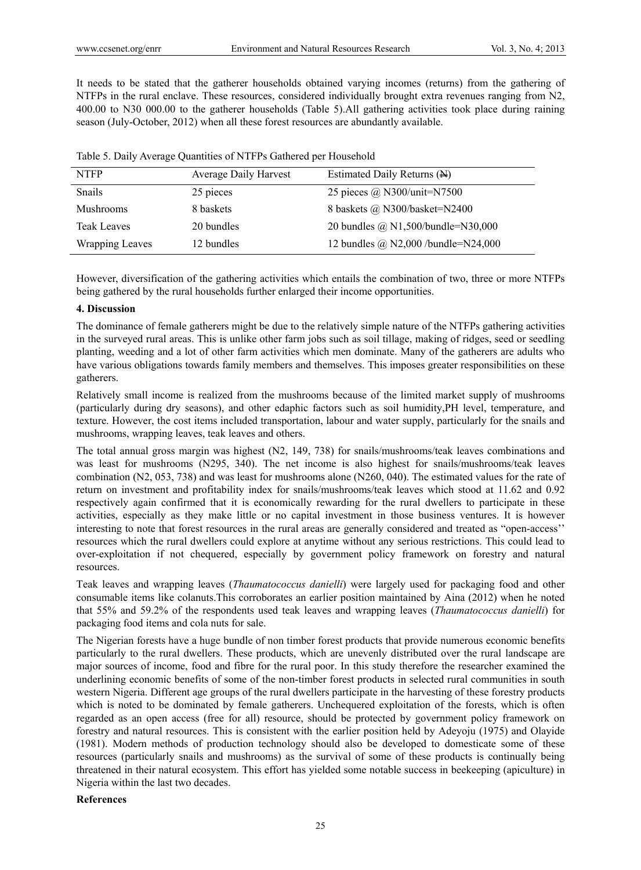It needs to be stated that the gatherer households obtained varying incomes (returns) from the gathering of NTFPs in the rural enclave. These resources, considered individually brought extra revenues ranging from N2, 400.00 to N30 000.00 to the gatherer households (Table 5).All gathering activities took place during raining season (July-October, 2012) when all these forest resources are abundantly available.

| <b>NTFP</b>            | <b>Average Daily Harvest</b> | Estimated Daily Returns (N)              |
|------------------------|------------------------------|------------------------------------------|
| <b>S</b> nails         | 25 pieces                    | 25 pieces @ N300/unit=N7500              |
| <b>Mushrooms</b>       | 8 baskets                    | 8 baskets @ N300/basket=N2400            |
| <b>Teak Leaves</b>     | 20 bundles                   | 20 bundles @ N1,500/bundle=N30,000       |
| <b>Wrapping Leaves</b> | 12 bundles                   | 12 bundles @ $N2,000$ /bundle= $N24,000$ |

Table 5. Daily Average Quantities of NTFPs Gathered per Household

However, diversification of the gathering activities which entails the combination of two, three or more NTFPs being gathered by the rural households further enlarged their income opportunities.

# **4. Discussion**

The dominance of female gatherers might be due to the relatively simple nature of the NTFPs gathering activities in the surveyed rural areas. This is unlike other farm jobs such as soil tillage, making of ridges, seed or seedling planting, weeding and a lot of other farm activities which men dominate. Many of the gatherers are adults who have various obligations towards family members and themselves. This imposes greater responsibilities on these gatherers.

Relatively small income is realized from the mushrooms because of the limited market supply of mushrooms (particularly during dry seasons), and other edaphic factors such as soil humidity,PH level, temperature, and texture. However, the cost items included transportation, labour and water supply, particularly for the snails and mushrooms, wrapping leaves, teak leaves and others.

The total annual gross margin was highest (N2, 149, 738) for snails/mushrooms/teak leaves combinations and was least for mushrooms (N295, 340). The net income is also highest for snails/mushrooms/teak leaves combination (N2, 053, 738) and was least for mushrooms alone (N260, 040). The estimated values for the rate of return on investment and profitability index for snails/mushrooms/teak leaves which stood at 11.62 and 0.92 respectively again confirmed that it is economically rewarding for the rural dwellers to participate in these activities, especially as they make little or no capital investment in those business ventures. It is however interesting to note that forest resources in the rural areas are generally considered and treated as "open-access'' resources which the rural dwellers could explore at anytime without any serious restrictions. This could lead to over-exploitation if not chequered, especially by government policy framework on forestry and natural resources.

Teak leaves and wrapping leaves (*Thaumatococcus danielli*) were largely used for packaging food and other consumable items like colanuts.This corroborates an earlier position maintained by Aina (2012) when he noted that 55% and 59.2% of the respondents used teak leaves and wrapping leaves (*Thaumatococcus danielli*) for packaging food items and cola nuts for sale.

The Nigerian forests have a huge bundle of non timber forest products that provide numerous economic benefits particularly to the rural dwellers. These products, which are unevenly distributed over the rural landscape are major sources of income, food and fibre for the rural poor. In this study therefore the researcher examined the underlining economic benefits of some of the non-timber forest products in selected rural communities in south western Nigeria. Different age groups of the rural dwellers participate in the harvesting of these forestry products which is noted to be dominated by female gatherers. Unchequered exploitation of the forests, which is often regarded as an open access (free for all) resource, should be protected by government policy framework on forestry and natural resources. This is consistent with the earlier position held by Adeyoju (1975) and Olayide (1981). Modern methods of production technology should also be developed to domesticate some of these resources (particularly snails and mushrooms) as the survival of some of these products is continually being threatened in their natural ecosystem. This effort has yielded some notable success in beekeeping (apiculture) in Nigeria within the last two decades.

# **References**